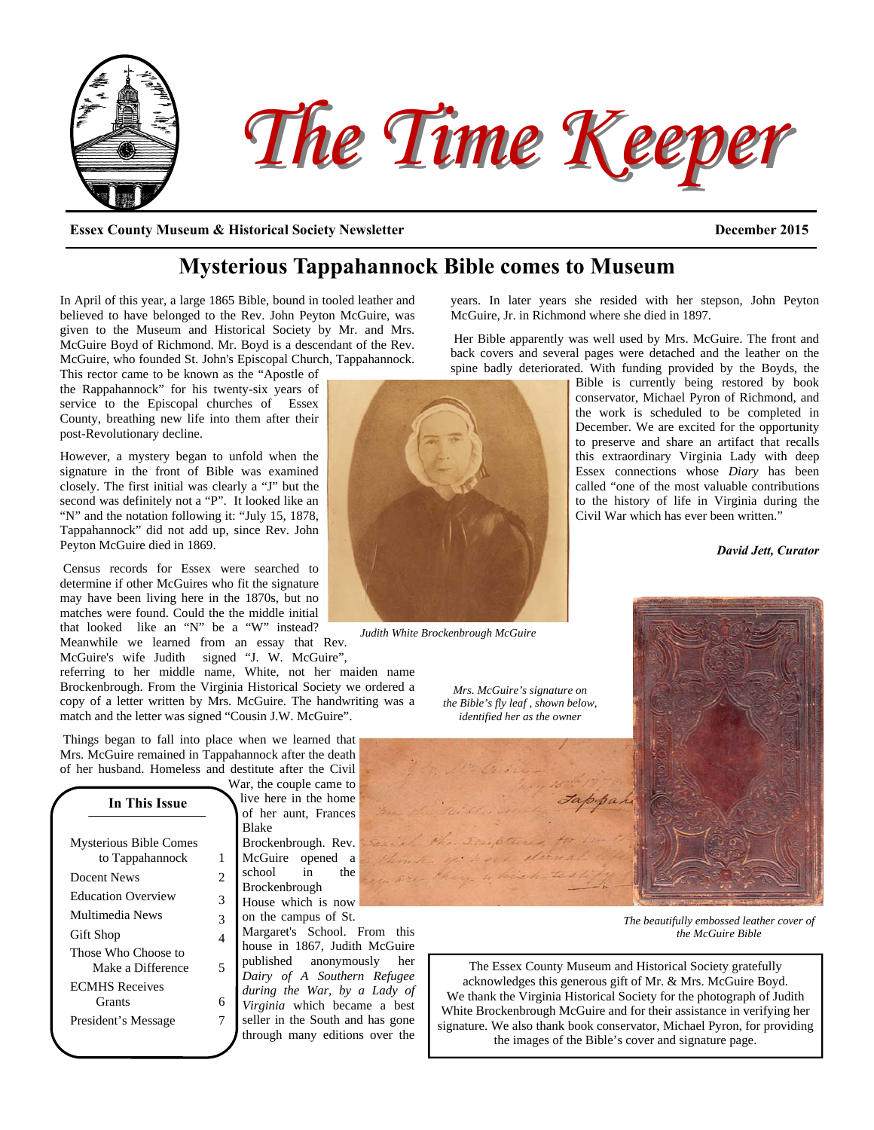

**Essex County Museum & Historical Society Newsletter December 2015** 

## **Mysterious Tappahannock Bible comes to Museum**

In April of this year, a large 1865 Bible, bound in tooled leather and believed to have belonged to the Rev. John Peyton McGuire, was given to the Museum and Historical Society by Mr. and Mrs. McGuire Boyd of Richmond. Mr. Boyd is a descendant of the Rev. McGuire, who founded St. John's Episcopal Church, Tappahannock.

This rector came to be known as the "Apostle of the Rappahannock" for his twenty-six years of service to the Episcopal churches of Essex County, breathing new life into them after their post-Revolutionary decline.

However, a mystery began to unfold when the signature in the front of Bible was examined closely. The first initial was clearly a "J" but the second was definitely not a "P". It looked like an "N" and the notation following it: "July 15, 1878, Tappahannock" did not add up, since Rev. John Peyton McGuire died in 1869.

 Census records for Essex were searched to determine if other McGuires who fit the signature may have been living here in the 1870s, but no matches were found. Could the the middle initial that looked like an "N" be a "W" instead? Meanwhile we learned from an essay that Rev.

McGuire's wife Judith signed "J. W. McGuire", referring to her middle name, White, not her maiden name Brockenbrough. From the Virginia Historical Society we ordered a copy of a letter written by Mrs. McGuire. The handwriting was a match and the letter was signed "Cousin J.W. McGuire".

 Things began to fall into place when we learned that Mrs. McGuire remained in Tappahannock after the death of her husband. Homeless and destitute after the Civil

|                                                                                                                                                                          | War, the couple came to                                                                                                                                                                                                                                                                |
|--------------------------------------------------------------------------------------------------------------------------------------------------------------------------|----------------------------------------------------------------------------------------------------------------------------------------------------------------------------------------------------------------------------------------------------------------------------------------|
| In This Issue                                                                                                                                                            | live here in the home                                                                                                                                                                                                                                                                  |
| <b>Mysterious Bible Comes</b><br>to Tappahannock<br>Docent News<br><b>Education Overview</b><br>Multimedia News<br>Gift Shop<br>Those Who Choose to<br>Make a Difference | of her aunt, Frances<br><b>Blake</b><br>Brockenbrough. Rev.<br>McGuire opened a<br>$\overline{\text{in}}$<br>school<br>the<br>2<br>Brockenbrough<br>3<br>House which is now<br>on the campus of St.<br>3<br>Margaret's School.<br>4<br>house in 1867, Juditl<br>published anonymo<br>5 |
| <b>ECMHS</b> Receives<br>Grants<br>President's Message                                                                                                                   | Dairy of A Souther<br>during the War, by<br>6<br>Virginia which becar<br>seller in the South and<br>7                                                                                                                                                                                  |
|                                                                                                                                                                          | through many edition                                                                                                                                                                                                                                                                   |

unt. Frances brough. Rev. opened a in the prough hich is now ampus of St. 's School. From this 1867. Judith McGuire d anonymously her *Dairy of A Southern Refugee during the War, by a Lady of* 

*Virginia* which became a best the South and has gone many editions over the

years. In later years she resided with her stepson, John Peyton McGuire, Jr. in Richmond where she died in 1897.

 Her Bible apparently was well used by Mrs. McGuire. The front and back covers and several pages were detached and the leather on the spine badly deteriorated. With funding provided by the Boyds, the

Bible is currently being restored by book conservator, Michael Pyron of Richmond, and the work is scheduled to be completed in December. We are excited for the opportunity to preserve and share an artifact that recalls this extraordinary Virginia Lady with deep Essex connections whose *Diary* has been called "one of the most valuable contributions to the history of life in Virginia during the Civil War which has ever been written."

*David Jett, Curator*



*Judith White Brockenbrough McGuire* 



*the Bible's fly leaf , shown below, identified her as the owner* 

*The beautifully embossed leather cover of the McGuire Bible* 

The Essex County Museum and Historical Society gratefully acknowledges this generous gift of Mr. & Mrs. McGuire Boyd. We thank the Virginia Historical Society for the photograph of Judith White Brockenbrough McGuire and for their assistance in verifying her signature. We also thank book conservator, Michael Pyron, for providing the images of the Bible's cover and signature page.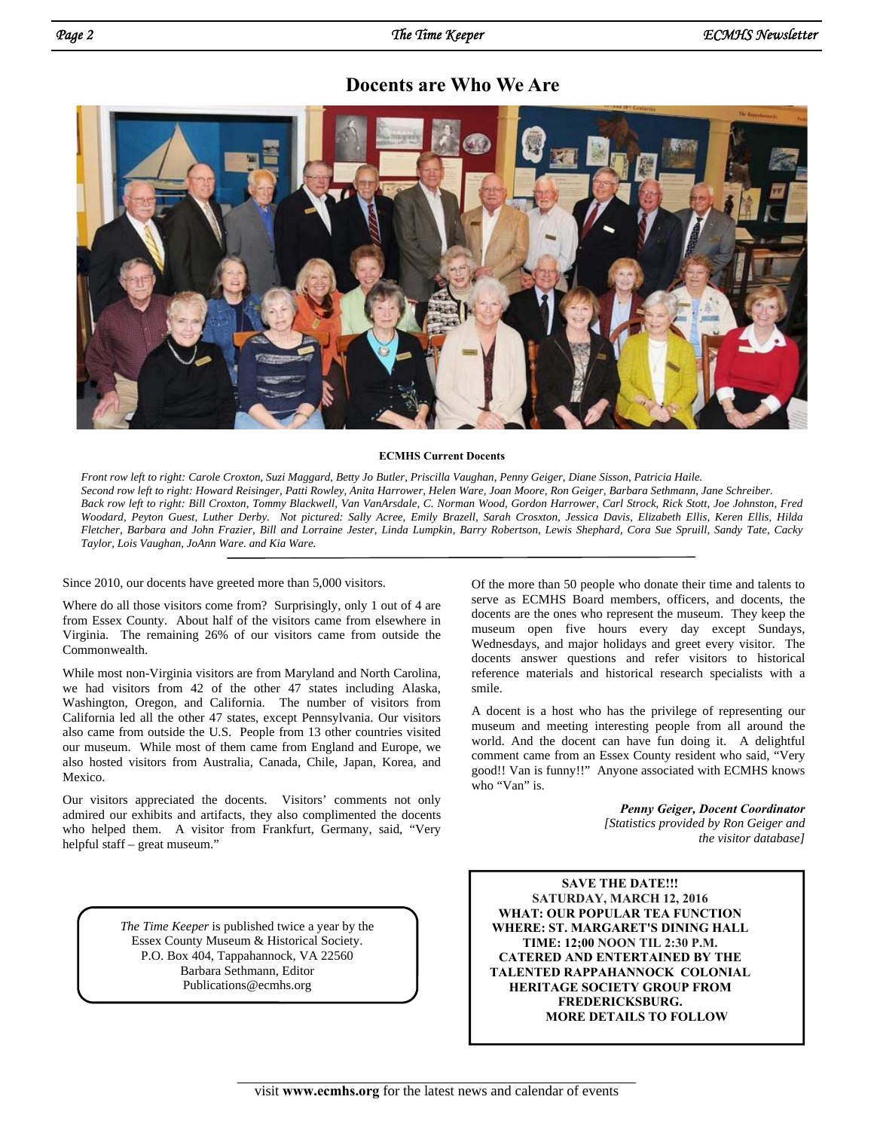## **Docents are Who We Are**



#### **ECMHS Current Docents**

*Front row left to right: Carole Croxton, Suzi Maggard, Betty Jo Butler, Priscilla Vaughan, Penny Geiger, Diane Sisson, Patricia Haile. Second row left to right: Howard Reisinger, Patti Rowley, Anita Harrower, Helen Ware, Joan Moore, Ron Geiger, Barbara Sethmann, Jane Schreiber. Back row left to right: Bill Croxton, Tommy Blackwell, Van VanArsdale, C. Norman Wood, Gordon Harrower, Carl Strock, Rick Stott, Joe Johnston, Fred Woodard, Peyton Guest, Luther Derby. Not pictured: Sally Acree, Emily Brazell, Sarah Crosxton, Jessica Davis, Elizabeth Ellis, Keren Ellis, Hilda Fletcher, Barbara and John Frazier, Bill and Lorraine Jester, Linda Lumpkin, Barry Robertson, Lewis Shephard, Cora Sue Spruill, Sandy Tate, Cacky Taylor, Lois Vaughan, JoAnn Ware. and Kia Ware.* 

Since 2010, our docents have greeted more than 5,000 visitors.

Where do all those visitors come from? Surprisingly, only 1 out of 4 are from Essex County. About half of the visitors came from elsewhere in Virginia. The remaining 26% of our visitors came from outside the Commonwealth.

While most non-Virginia visitors are from Maryland and North Carolina, we had visitors from 42 of the other 47 states including Alaska, Washington, Oregon, and California. The number of visitors from California led all the other 47 states, except Pennsylvania. Our visitors also came from outside the U.S. People from 13 other countries visited our museum. While most of them came from England and Europe, we also hosted visitors from Australia, Canada, Chile, Japan, Korea, and Mexico.

Our visitors appreciated the docents. Visitors' comments not only admired our exhibits and artifacts, they also complimented the docents who helped them. A visitor from Frankfurt, Germany, said, "Very helpful staff – great museum."

> *The Time Keeper* is published twice a year by the Essex County Museum & Historical Society. P.O. Box 404, Tappahannock, VA 22560 Barbara Sethmann, Editor Publications@ecmhs.org

Of the more than 50 people who donate their time and talents to serve as ECMHS Board members, officers, and docents, the docents are the ones who represent the museum. They keep the museum open five hours every day except Sundays, Wednesdays, and major holidays and greet every visitor. The docents answer questions and refer visitors to historical reference materials and historical research specialists with a smile.

A docent is a host who has the privilege of representing our museum and meeting interesting people from all around the world. And the docent can have fun doing it. A delightful comment came from an Essex County resident who said, "Very good!! Van is funny!!" Anyone associated with ECMHS knows who "Van" is.

> *Penny Geiger, Docent Coordinator [Statistics provided by Ron Geiger and the visitor database]*

**SAVE THE DATE!!! SATURDAY, MARCH 12, 2016 WHAT: OUR POPULAR TEA FUNCTION WHERE: ST. MARGARET'S DINING HALL TIME: 12;00 NOON TIL 2:30 P.M. CATERED AND ENTERTAINED BY THE TALENTED RAPPAHANNOCK COLONIAL HERITAGE SOCIETY GROUP FROM FREDERICKSBURG. MORE DETAILS TO FOLLOW**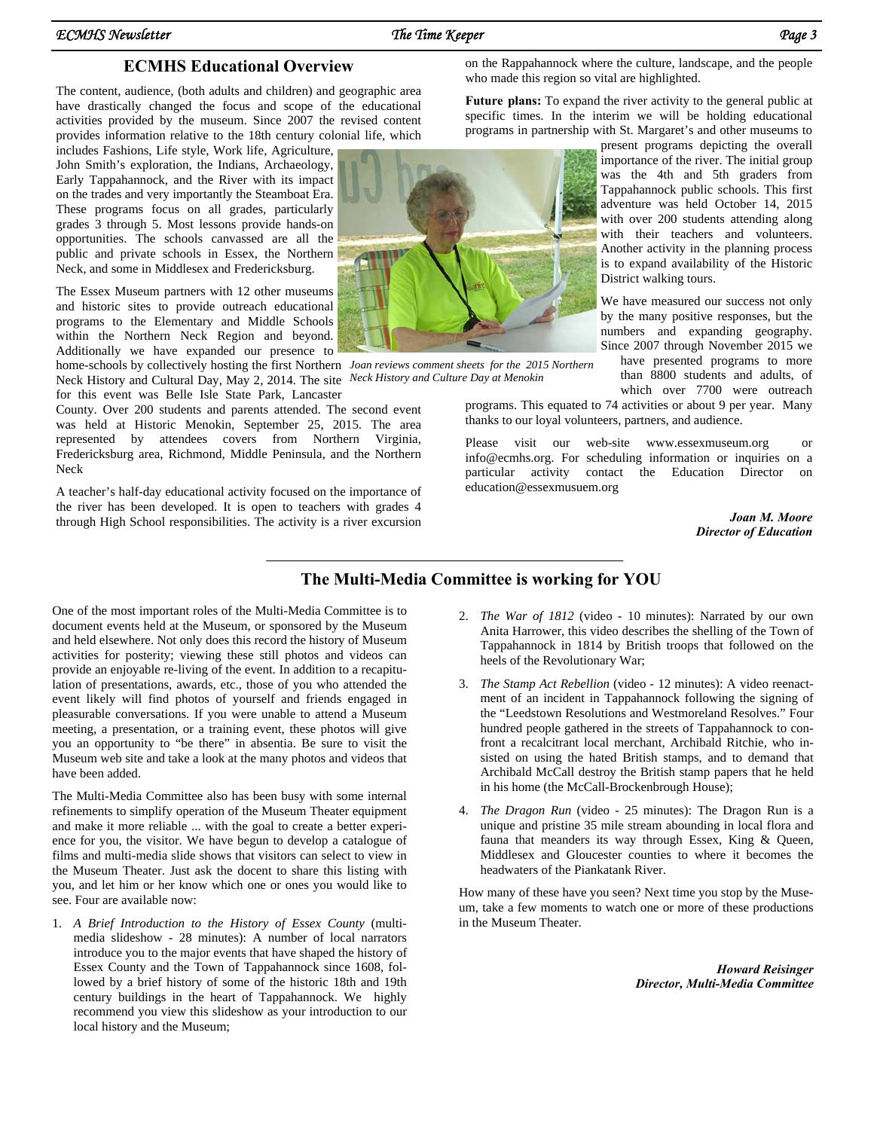## **ECMHS Educational Overview**

The content, audience, (both adults and children) and geographic area have drastically changed the focus and scope of the educational activities provided by the museum. Since 2007 the revised content provides information relative to the 18th century colonial life, which

includes Fashions, Life style, Work life, Agriculture, John Smith's exploration, the Indians, Archaeology, Early Tappahannock, and the River with its impact on the trades and very importantly the Steamboat Era. These programs focus on all grades, particularly grades 3 through 5. Most lessons provide hands-on opportunities. The schools canvassed are all the public and private schools in Essex, the Northern Neck, and some in Middlesex and Fredericksburg.

The Essex Museum partners with 12 other museums and historic sites to provide outreach educational programs to the Elementary and Middle Schools within the Northern Neck Region and beyond. Additionally we have expanded our presence to

home-schools by collectively hosting the first Northern *Joan reviews comment sheets for the 2015 Northern*  Neck History and Cultural Day, May 2, 2014. The site *Neck History and Culture Day at Menokin*  for this event was Belle Isle State Park, Lancaster

County. Over 200 students and parents attended. The second event was held at Historic Menokin, September 25, 2015. The area represented by attendees covers from Northern Virginia, Fredericksburg area, Richmond, Middle Peninsula, and the Northern Neck

A teacher's half-day educational activity focused on the importance of the river has been developed. It is open to teachers with grades 4 through High School responsibilities. The activity is a river excursion

on the Rappahannock where the culture, landscape, and the people who made this region so vital are highlighted.

**Future plans:** To expand the river activity to the general public at specific times. In the interim we will be holding educational programs in partnership with St. Margaret's and other museums to

> present programs depicting the overall importance of the river. The initial group was the 4th and 5th graders from Tappahannock public schools. This first adventure was held October 14, 2015 with over 200 students attending along with their teachers and volunteers. Another activity in the planning process is to expand availability of the Historic District walking tours.

> We have measured our success not only by the many positive responses, but the numbers and expanding geography. Since 2007 through November 2015 we

have presented programs to more than 8800 students and adults, of which over 7700 were outreach

programs. This equated to 74 activities or about 9 per year. Many thanks to our loyal volunteers, partners, and audience.

Please visit our web-site www.essexmuseum.org or info@ecmhs.org. For scheduling information or inquiries on a particular activity contact the Education Director on education@essexmusuem.org

> *Joan M. Moore Director of Education*

#### **The Multi-Media Committee is working for YOU**

One of the most important roles of the Multi-Media Committee is to document events held at the Museum, or sponsored by the Museum and held elsewhere. Not only does this record the history of Museum activities for posterity; viewing these still photos and videos can provide an enjoyable re-living of the event. In addition to a recapitulation of presentations, awards, etc., those of you who attended the event likely will find photos of yourself and friends engaged in pleasurable conversations. If you were unable to attend a Museum meeting, a presentation, or a training event, these photos will give you an opportunity to "be there" in absentia. Be sure to visit the Museum web site and take a look at the many photos and videos that have been added.

The Multi-Media Committee also has been busy with some internal refinements to simplify operation of the Museum Theater equipment and make it more reliable ... with the goal to create a better experience for you, the visitor. We have begun to develop a catalogue of films and multi-media slide shows that visitors can select to view in the Museum Theater. Just ask the docent to share this listing with you, and let him or her know which one or ones you would like to see. Four are available now:

1. *A Brief Introduction to the History of Essex County* (multimedia slideshow - 28 minutes): A number of local narrators introduce you to the major events that have shaped the history of Essex County and the Town of Tappahannock since 1608, followed by a brief history of some of the historic 18th and 19th century buildings in the heart of Tappahannock. We highly recommend you view this slideshow as your introduction to our local history and the Museum;

2. *The War of 1812* (video - 10 minutes): Narrated by our own Anita Harrower, this video describes the shelling of the Town of Tappahannock in 1814 by British troops that followed on the heels of the Revolutionary War;

- 3. *The Stamp Act Rebellion* (video 12 minutes): A video reenactment of an incident in Tappahannock following the signing of the "Leedstown Resolutions and Westmoreland Resolves." Four hundred people gathered in the streets of Tappahannock to confront a recalcitrant local merchant, Archibald Ritchie, who insisted on using the hated British stamps, and to demand that Archibald McCall destroy the British stamp papers that he held in his home (the McCall-Brockenbrough House);
- 4. *The Dragon Run* (video 25 minutes): The Dragon Run is a unique and pristine 35 mile stream abounding in local flora and fauna that meanders its way through Essex, King & Queen, Middlesex and Gloucester counties to where it becomes the headwaters of the Piankatank River.

How many of these have you seen? Next time you stop by the Museum, take a few moments to watch one or more of these productions in the Museum Theater.

> *Howard Reisinger Director, Multi-Media Committee*

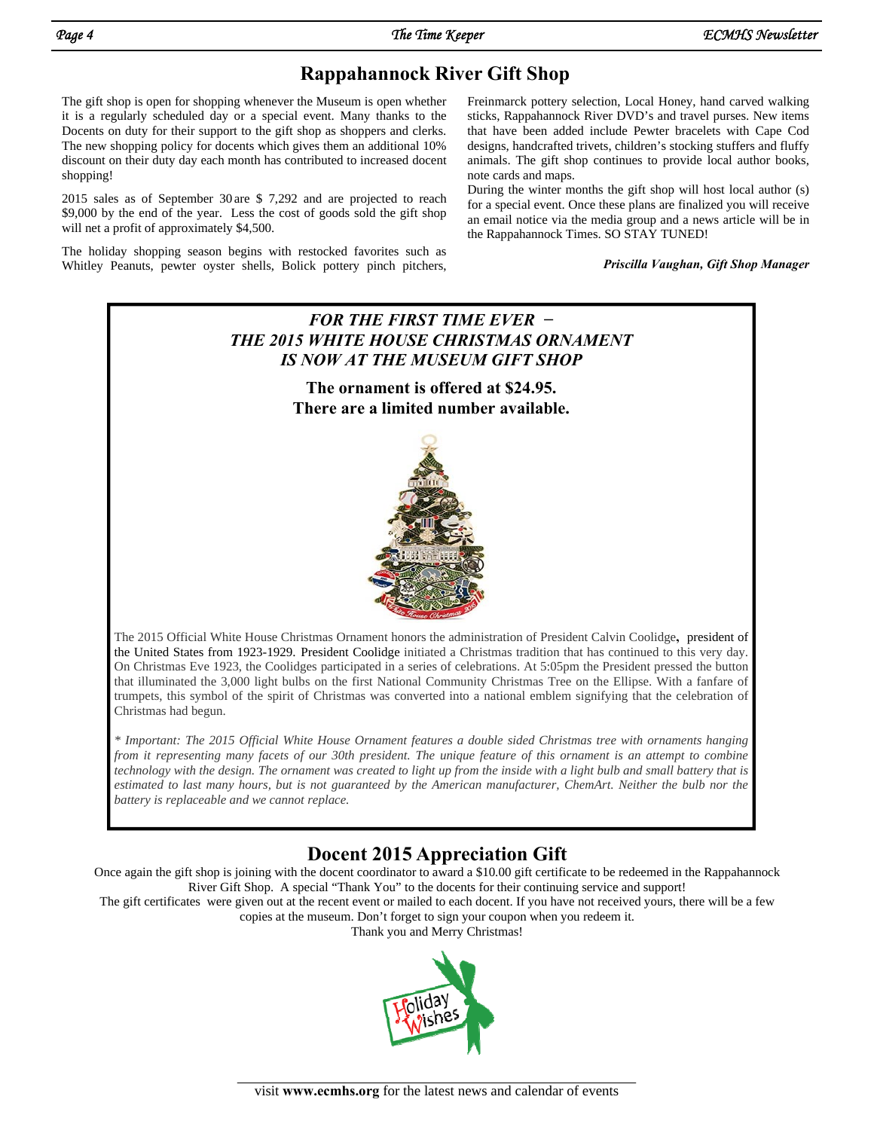## **Rappahannock River Gift Shop**

The gift shop is open for shopping whenever the Museum is open whether it is a regularly scheduled day or a special event. Many thanks to the Docents on duty for their support to the gift shop as shoppers and clerks. The new shopping policy for docents which gives them an additional 10% discount on their duty day each month has contributed to increased docent shopping!

2015 sales as of September 30 are \$ 7,292 and are projected to reach \$9,000 by the end of the year. Less the cost of goods sold the gift shop will net a profit of approximately \$4,500.

The holiday shopping season begins with restocked favorites such as Whitley Peanuts, pewter oyster shells, Bolick pottery pinch pitchers, Freinmarck pottery selection, Local Honey, hand carved walking sticks, Rappahannock River DVD's and travel purses. New items that have been added include Pewter bracelets with Cape Cod designs, handcrafted trivets, children's stocking stuffers and fluffy animals. The gift shop continues to provide local author books, note cards and maps.

During the winter months the gift shop will host local author (s) for a special event. Once these plans are finalized you will receive an email notice via the media group and a news article will be in the Rappahannock Times. SO STAY TUNED!

*Priscilla Vaughan, Gift Shop Manager* 



## **Docent 2015 Appreciation Gift**

Once again the gift shop is joining with the docent coordinator to award a \$10.00 gift certificate to be redeemed in the Rappahannock River Gift Shop. A special "Thank You" to the docents for their continuing service and support!

The gift certificates were given out at the recent event or mailed to each docent. If you have not received yours, there will be a few copies at the museum. Don't forget to sign your coupon when you redeem it.

Thank you and Merry Christmas!

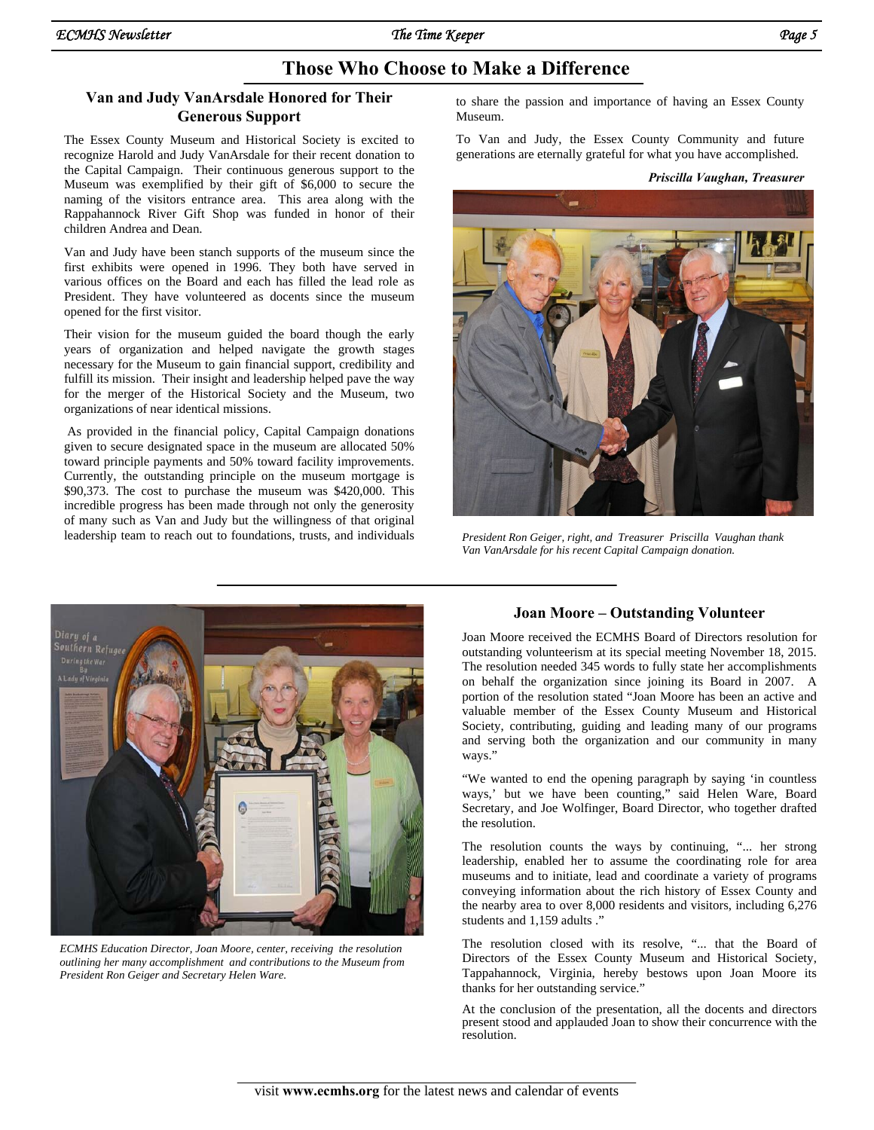## **Those Who Choose to Make a Difference**

#### **Van and Judy VanArsdale Honored for Their Generous Support**

The Essex County Museum and Historical Society is excited to recognize Harold and Judy VanArsdale for their recent donation to the Capital Campaign. Their continuous generous support to the Museum was exemplified by their gift of \$6,000 to secure the naming of the visitors entrance area. This area along with the Rappahannock River Gift Shop was funded in honor of their children Andrea and Dean.

Van and Judy have been stanch supports of the museum since the first exhibits were opened in 1996. They both have served in various offices on the Board and each has filled the lead role as President. They have volunteered as docents since the museum opened for the first visitor.

Their vision for the museum guided the board though the early years of organization and helped navigate the growth stages necessary for the Museum to gain financial support, credibility and fulfill its mission. Their insight and leadership helped pave the way for the merger of the Historical Society and the Museum, two organizations of near identical missions.

 As provided in the financial policy, Capital Campaign donations given to secure designated space in the museum are allocated 50% toward principle payments and 50% toward facility improvements. Currently, the outstanding principle on the museum mortgage is \$90,373. The cost to purchase the museum was \$420,000. This incredible progress has been made through not only the generosity of many such as Van and Judy but the willingness of that original leadership team to reach out to foundations, trusts, and individuals

to share the passion and importance of having an Essex County Museum.

To Van and Judy, the Essex County Community and future generations are eternally grateful for what you have accomplished.

#### *Priscilla Vaughan, Treasurer*



*President Ron Geiger, right, and Treasurer Priscilla Vaughan thank Van VanArsdale for his recent Capital Campaign donation.* 



*ECMHS Education Director, Joan Moore, center, receiving the resolution outlining her many accomplishment and contributions to the Museum from President Ron Geiger and Secretary Helen Ware.* 

#### **Joan Moore – Outstanding Volunteer**

Joan Moore received the ECMHS Board of Directors resolution for outstanding volunteerism at its special meeting November 18, 2015. The resolution needed 345 words to fully state her accomplishments on behalf the organization since joining its Board in 2007. A portion of the resolution stated "Joan Moore has been an active and valuable member of the Essex County Museum and Historical Society, contributing, guiding and leading many of our programs and serving both the organization and our community in many ways."

"We wanted to end the opening paragraph by saying 'in countless ways,' but we have been counting," said Helen Ware, Board Secretary, and Joe Wolfinger, Board Director, who together drafted the resolution.

The resolution counts the ways by continuing, "... her strong leadership, enabled her to assume the coordinating role for area museums and to initiate, lead and coordinate a variety of programs conveying information about the rich history of Essex County and the nearby area to over 8,000 residents and visitors, including 6,276 students and 1,159 adults ."

The resolution closed with its resolve, "... that the Board of Directors of the Essex County Museum and Historical Society, Tappahannock, Virginia, hereby bestows upon Joan Moore its thanks for her outstanding service."

At the conclusion of the presentation, all the docents and directors present stood and applauded Joan to show their concurrence with the resolution.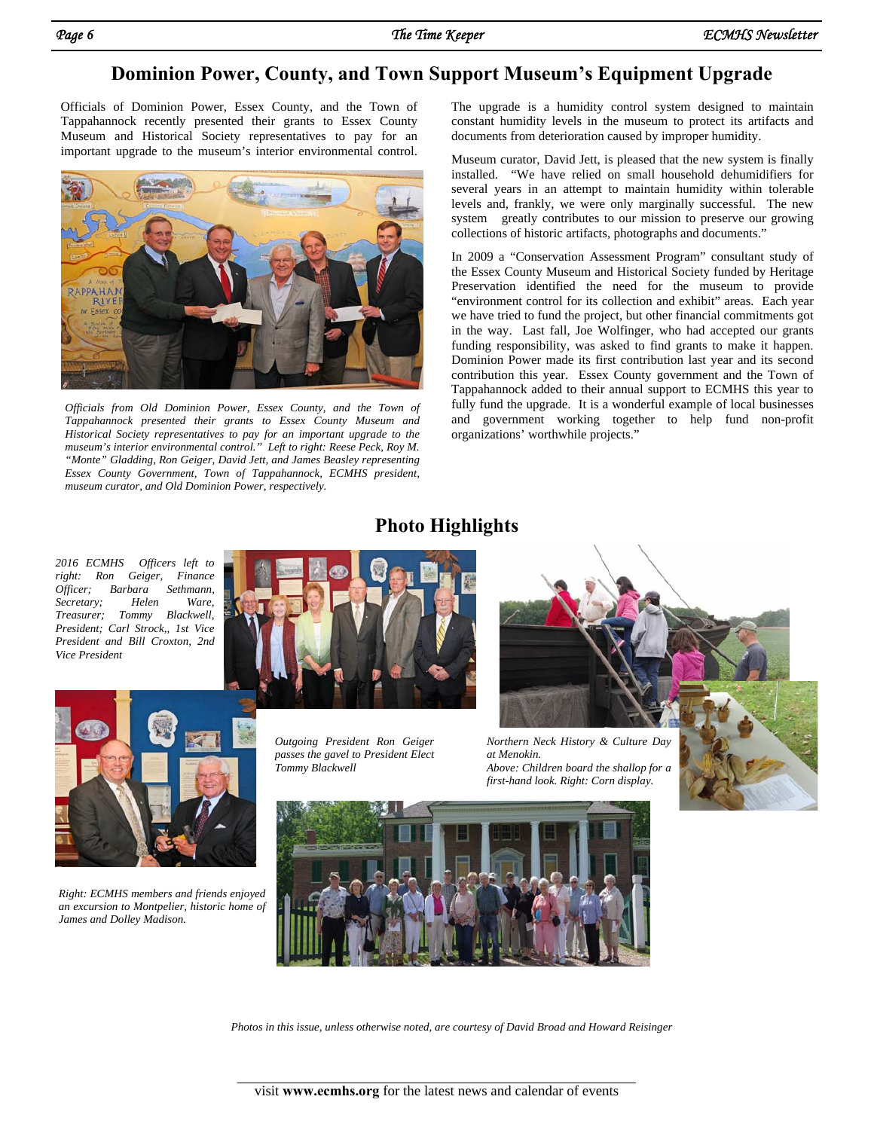## **Dominion Power, County, and Town Support Museum's Equipment Upgrade**

Officials of Dominion Power, Essex County, and the Town of Tappahannock recently presented their grants to Essex County Museum and Historical Society representatives to pay for an important upgrade to the museum's interior environmental control.



*Officials from Old Dominion Power, Essex County, and the Town of Tappahannock presented their grants to Essex County Museum and Historical Society representatives to pay for an important upgrade to the museum's interior environmental control." Left to right: Reese Peck, Roy M. "Monte" Gladding, Ron Geiger, David Jett, and James Beasley representing Essex County Government, Town of Tappahannock, ECMHS president, museum curator, and Old Dominion Power, respectively.* 

The upgrade is a humidity control system designed to maintain constant humidity levels in the museum to protect its artifacts and documents from deterioration caused by improper humidity.

Museum curator, David Jett, is pleased that the new system is finally installed. "We have relied on small household dehumidifiers for several years in an attempt to maintain humidity within tolerable levels and, frankly, we were only marginally successful. The new system greatly contributes to our mission to preserve our growing collections of historic artifacts, photographs and documents."

In 2009 a "Conservation Assessment Program" consultant study of the Essex County Museum and Historical Society funded by Heritage Preservation identified the need for the museum to provide "environment control for its collection and exhibit" areas. Each year we have tried to fund the project, but other financial commitments got in the way. Last fall, Joe Wolfinger, who had accepted our grants funding responsibility, was asked to find grants to make it happen. Dominion Power made its first contribution last year and its second contribution this year. Essex County government and the Town of Tappahannock added to their annual support to ECMHS this year to fully fund the upgrade. It is a wonderful example of local businesses and government working together to help fund non-profit organizations' worthwhile projects."

#### *2016 ECMHS Officers left to right: Ron Geiger, Finance Officer; Barbara Sethmann, Secretary; Helen Ware, Treasurer; Tommy Blackwell, President; Carl Strock,, 1st Vice President and Bill Croxton, 2nd Vice President*







*Right: ECMHS members and friends enjoyed an excursion to Montpelier, historic home of James and Dolley Madison.* 

*Outgoing President Ron Geiger passes the gavel to President Elect Tommy Blackwell* 

*Northern Neck History & Culture Day at Menokin. Above: Children board the shallop for a first-hand look. Right: Corn display.* 





**Photo Highlights** 

*Photos in this issue, unless otherwise noted, are courtesy of David Broad and Howard Reisinger*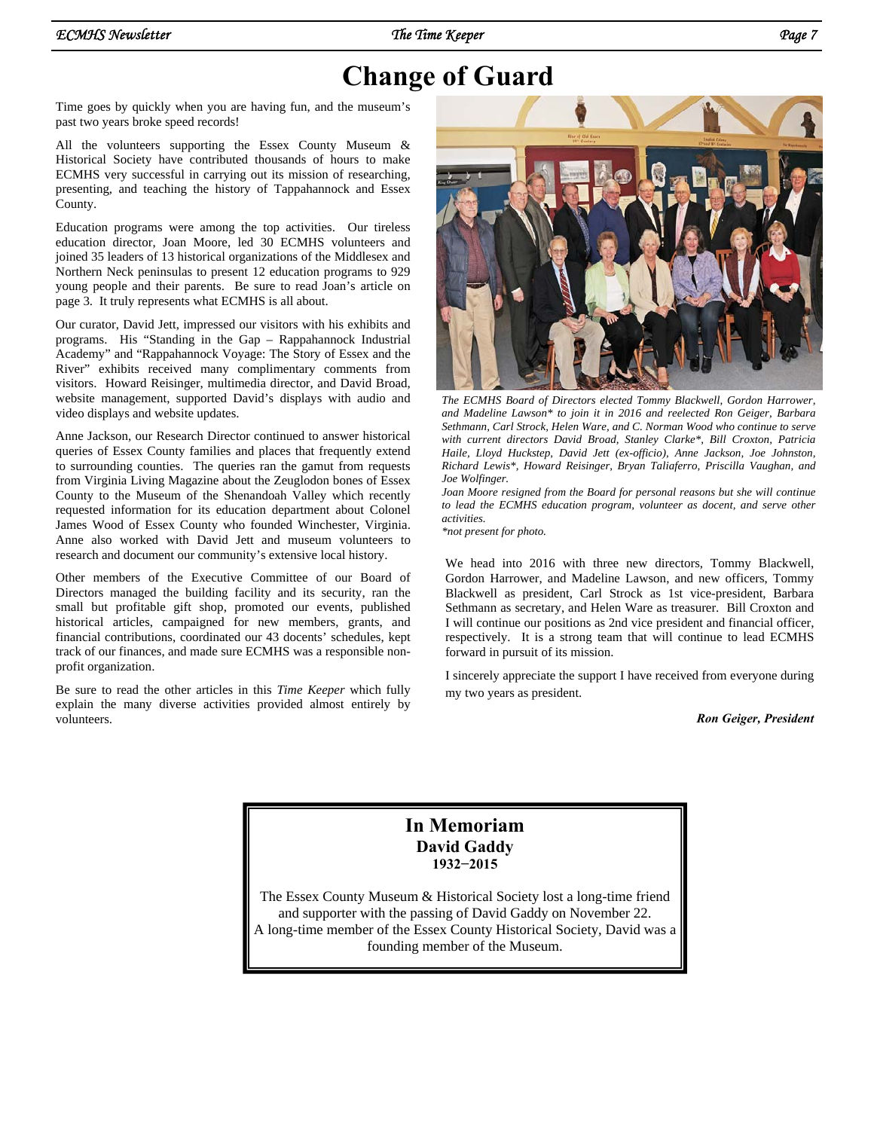# **Change of Guard**

Time goes by quickly when you are having fun, and the museum's past two years broke speed records!

All the volunteers supporting the Essex County Museum & Historical Society have contributed thousands of hours to make ECMHS very successful in carrying out its mission of researching, presenting, and teaching the history of Tappahannock and Essex County.

Education programs were among the top activities. Our tireless education director, Joan Moore, led 30 ECMHS volunteers and joined 35 leaders of 13 historical organizations of the Middlesex and Northern Neck peninsulas to present 12 education programs to 929 young people and their parents. Be sure to read Joan's article on page 3. It truly represents what ECMHS is all about.

Our curator, David Jett, impressed our visitors with his exhibits and programs. His "Standing in the Gap – Rappahannock Industrial Academy" and "Rappahannock Voyage: The Story of Essex and the River" exhibits received many complimentary comments from visitors. Howard Reisinger, multimedia director, and David Broad, website management, supported David's displays with audio and video displays and website updates.

Anne Jackson, our Research Director continued to answer historical queries of Essex County families and places that frequently extend to surrounding counties. The queries ran the gamut from requests from Virginia Living Magazine about the Zeuglodon bones of Essex County to the Museum of the Shenandoah Valley which recently requested information for its education department about Colonel James Wood of Essex County who founded Winchester, Virginia. Anne also worked with David Jett and museum volunteers to research and document our community's extensive local history.

Other members of the Executive Committee of our Board of Directors managed the building facility and its security, ran the small but profitable gift shop, promoted our events, published historical articles, campaigned for new members, grants, and financial contributions, coordinated our 43 docents' schedules, kept track of our finances, and made sure ECMHS was a responsible nonprofit organization.

Be sure to read the other articles in this *Time Keeper* which fully explain the many diverse activities provided almost entirely by volunteers.



*The ECMHS Board of Directors elected Tommy Blackwell, Gordon Harrower, and Madeline Lawson\* to join it in 2016 and reelected Ron Geiger, Barbara Sethmann, Carl Strock, Helen Ware, and C. Norman Wood who continue to serve with current directors David Broad, Stanley Clarke\*, Bill Croxton, Patricia Haile, Lloyd Huckstep, David Jett (ex-officio), Anne Jackson, Joe Johnston, Richard Lewis\*, Howard Reisinger, Bryan Taliaferro, Priscilla Vaughan, and Joe Wolfinger.* 

*Joan Moore resigned from the Board for personal reasons but she will continue to lead the ECMHS education program, volunteer as docent, and serve other activities.* 

*\*not present for photo.* 

We head into 2016 with three new directors, Tommy Blackwell, Gordon Harrower, and Madeline Lawson, and new officers, Tommy Blackwell as president, Carl Strock as 1st vice-president, Barbara Sethmann as secretary, and Helen Ware as treasurer. Bill Croxton and I will continue our positions as 2nd vice president and financial officer, respectively. It is a strong team that will continue to lead ECMHS forward in pursuit of its mission.

I sincerely appreciate the support I have received from everyone during my two years as president.

#### *Ron Geiger, President*

### **In Memoriam David Gaddy 1932−2015**

The Essex County Museum & Historical Society lost a long-time friend and supporter with the passing of David Gaddy on November 22. A long-time member of the Essex County Historical Society, David was a founding member of the Museum.